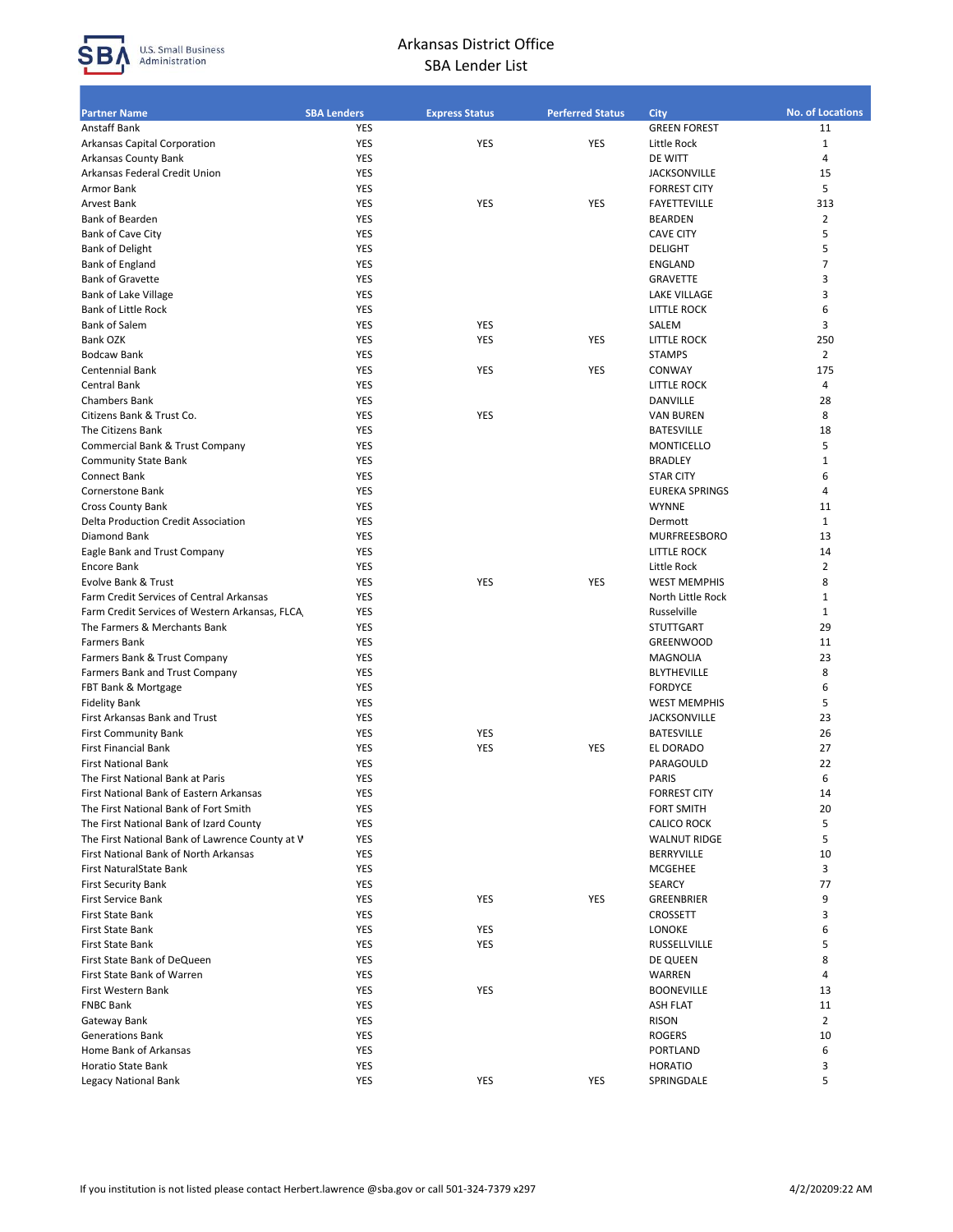

## Arkansas District Office SBA Lender List

| <b>Partner Name</b>                                | <b>SBA Lenders</b> | <b>Express Status</b> | <b>Perferred Status</b> | City                                   | <b>No. of Locations</b> |
|----------------------------------------------------|--------------------|-----------------------|-------------------------|----------------------------------------|-------------------------|
| Anstaff Bank                                       | YES                |                       |                         | <b>GREEN FOREST</b>                    | 11                      |
| Arkansas Capital Corporation                       | YES                | YES                   | YES                     | Little Rock                            | $\mathbf{1}$            |
| Arkansas County Bank                               | YES                |                       |                         | DE WITT                                | 4                       |
| Arkansas Federal Credit Union                      | YES                |                       |                         | <b>JACKSONVILLE</b>                    | 15                      |
| Armor Bank                                         | YES                |                       |                         | <b>FORREST CITY</b>                    | 5                       |
| Arvest Bank                                        | YES                | YES                   | YES                     | <b>FAYETTEVILLE</b>                    | 313                     |
| Bank of Bearden                                    | <b>YES</b>         |                       |                         | <b>BEARDEN</b>                         | 2                       |
| Bank of Cave City                                  | YES                |                       |                         | <b>CAVE CITY</b>                       | 5                       |
| <b>Bank of Delight</b>                             | YES                |                       |                         | <b>DELIGHT</b>                         | 5                       |
| Bank of England                                    | YES                |                       |                         | ENGLAND                                | 7                       |
| <b>Bank of Gravette</b>                            | YES<br>YES         |                       |                         | <b>GRAVETTE</b><br><b>LAKE VILLAGE</b> | 3<br>3                  |
| Bank of Lake Village<br><b>Bank of Little Rock</b> | <b>YES</b>         |                       |                         | <b>LITTLE ROCK</b>                     | 6                       |
| <b>Bank of Salem</b>                               | YES                | YES                   |                         | SALEM                                  | 3                       |
| Bank OZK                                           | <b>YES</b>         | <b>YES</b>            | <b>YES</b>              | <b>LITTLE ROCK</b>                     | 250                     |
|                                                    | YES                |                       |                         |                                        | $\overline{2}$          |
| <b>Bodcaw Bank</b><br><b>Centennial Bank</b>       | <b>YES</b>         | YES                   | <b>YES</b>              | <b>STAMPS</b><br>CONWAY                | 175                     |
| Central Bank                                       | YES                |                       |                         | <b>LITTLE ROCK</b>                     | 4                       |
| <b>Chambers Bank</b>                               | <b>YES</b>         |                       |                         |                                        | 28                      |
| Citizens Bank & Trust Co.                          | YES                | YES                   |                         | DANVILLE                               | 8                       |
|                                                    | <b>YES</b>         |                       |                         | <b>VAN BUREN</b><br><b>BATESVILLE</b>  | 18                      |
| The Citizens Bank                                  | YES                |                       |                         | <b>MONTICELLO</b>                      | 5                       |
| Commercial Bank & Trust Company                    | <b>YES</b>         |                       |                         | <b>BRADLEY</b>                         | 1                       |
| <b>Community State Bank</b><br>Connect Bank        | YES                |                       |                         | <b>STAR CITY</b>                       | 6                       |
| Cornerstone Bank                                   | YES                |                       |                         | <b>EUREKA SPRINGS</b>                  | 4                       |
| <b>Cross County Bank</b>                           | <b>YES</b>         |                       |                         | <b>WYNNE</b>                           | 11                      |
| <b>Delta Production Credit Association</b>         | YES                |                       |                         | Dermott                                | $\mathbf{1}$            |
| Diamond Bank                                       | <b>YES</b>         |                       |                         | <b>MURFREESBORO</b>                    | 13                      |
| Eagle Bank and Trust Company                       | YES                |                       |                         | <b>LITTLE ROCK</b>                     | 14                      |
| <b>Encore Bank</b>                                 | YES                |                       |                         | Little Rock                            | $\overline{2}$          |
| Evolve Bank & Trust                                | YES                | YES                   | YES                     | <b>WEST MEMPHIS</b>                    | 8                       |
| Farm Credit Services of Central Arkansas           | <b>YES</b>         |                       |                         | North Little Rock                      | 1                       |
| Farm Credit Services of Western Arkansas, FLCA     | YES                |                       |                         | Russelville                            | $\mathbf{1}$            |
| The Farmers & Merchants Bank                       | <b>YES</b>         |                       |                         | <b>STUTTGART</b>                       | 29                      |
| <b>Farmers Bank</b>                                | YES                |                       |                         | <b>GREENWOOD</b>                       | 11                      |
| Farmers Bank & Trust Company                       | <b>YES</b>         |                       |                         | MAGNOLIA                               | 23                      |
| Farmers Bank and Trust Company                     | YES                |                       |                         | <b>BLYTHEVILLE</b>                     | 8                       |
| FBT Bank & Mortgage                                | YES                |                       |                         | <b>FORDYCE</b>                         | 6                       |
| <b>Fidelity Bank</b>                               | YES                |                       |                         | <b>WEST MEMPHIS</b>                    | 5                       |
| First Arkansas Bank and Trust                      | YES                |                       |                         | <b>JACKSONVILLE</b>                    | 23                      |
| <b>First Community Bank</b>                        | YES                | YES                   |                         | <b>BATESVILLE</b>                      | 26                      |
| <b>First Financial Bank</b>                        | YES                | <b>YES</b>            | YES                     | EL DORADO                              | 27                      |
| <b>First National Bank</b>                         | YES                |                       |                         | PARAGOULD                              | 22                      |
| The First National Bank at Paris                   | <b>YES</b>         |                       |                         | <b>PARIS</b>                           | 6                       |
| First National Bank of Eastern Arkansas            | YES                |                       |                         | <b>FORREST CITY</b>                    | 14                      |
| The First National Bank of Fort Smith              | YES                |                       |                         | <b>FORT SMITH</b>                      | 20                      |
| The First National Bank of Izard County            | YES                |                       |                         | <b>CALICO ROCK</b>                     | 5                       |
| The First National Bank of Lawrence County at V    | YES                |                       |                         | <b>WALNUT RIDGE</b>                    | 5                       |
| First National Bank of North Arkansas              | YES                |                       |                         | BERRYVILLE                             | 10                      |
| First NaturalState Bank                            | <b>YES</b>         |                       |                         | MCGEHEE                                | 3                       |
| <b>First Security Bank</b>                         | YES                |                       |                         | SEARCY                                 | 77                      |
| First Service Bank                                 | YES                | <b>YES</b>            | YES                     | GREENBRIER                             | 9                       |
| First State Bank                                   | YES                |                       |                         | CROSSETT                               | 3                       |
| First State Bank                                   | YES                | YES                   |                         | LONOKE                                 | 6                       |
| First State Bank                                   | YES                | YES                   |                         | RUSSELLVILLE                           | 5                       |
| First State Bank of DeQueen                        | <b>YES</b>         |                       |                         | DE QUEEN                               | 8                       |
| First State Bank of Warren                         | YES                |                       |                         | WARREN                                 | 4                       |
| First Western Bank                                 | YES                | YES                   |                         | <b>BOONEVILLE</b>                      | 13                      |
| <b>FNBC Bank</b>                                   | YES                |                       |                         | <b>ASH FLAT</b>                        | 11                      |
| Gateway Bank                                       | <b>YES</b>         |                       |                         | <b>RISON</b>                           | $\overline{2}$          |
| <b>Generations Bank</b>                            | YES                |                       |                         | <b>ROGERS</b>                          | 10                      |
| Home Bank of Arkansas                              | YES                |                       |                         | PORTLAND                               | 6                       |
| <b>Horatio State Bank</b>                          | YES                |                       |                         | <b>HORATIO</b>                         | 3                       |
| Legacy National Bank                               | YES                | YES                   | YES                     | SPRINGDALE                             | 5                       |
|                                                    |                    |                       |                         |                                        |                         |